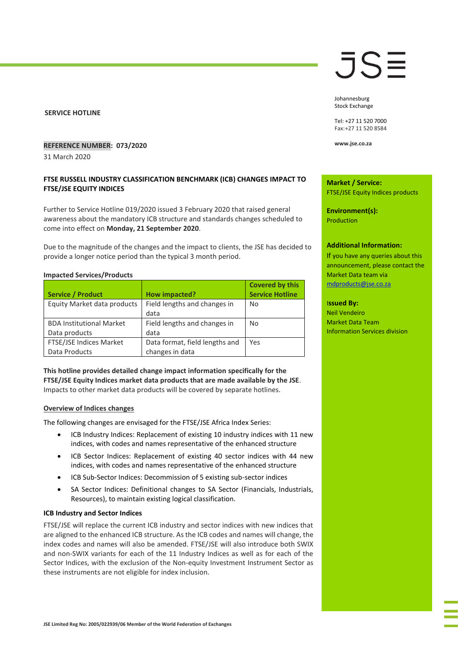## **SERVICE HOTLINE**

## **REFERENCE NUMBER: 073/2020**

31 March 2020

## **FTSE RUSSELL INDUSTRY CLASSIFICATION BENCHMARK (ICB) CHANGES IMPACT TO FTSE/JSE EQUITY INDICES**

Further to Service Hotline 019/2020 issued 3 February 2020 that raised general awareness about the mandatory ICB structure and standards changes scheduled to come into effect on **Monday, 21 September 2020**.

Due to the magnitude of the changes and the impact to clients, the JSE has decided to provide a longer notice period than the typical 3 month period.

#### **Impacted Services/Products**

|                                 |                                | <b>Covered by this</b> |
|---------------------------------|--------------------------------|------------------------|
| <b>Service / Product</b>        | How impacted?                  | <b>Service Hotline</b> |
| Equity Market data products     | Field lengths and changes in   | No                     |
|                                 | data                           |                        |
| <b>BDA Institutional Market</b> | Field lengths and changes in   | No                     |
| Data products                   | data                           |                        |
| FTSE/JSE Indices Market         | Data format, field lengths and | Yes                    |
| Data Products                   | changes in data                |                        |

**This hotline provides detailed change impact information specifically for the FTSE/JSE Equity Indices market data products that are made available by the JSE**. Impacts to other market data products will be covered by separate hotlines.

#### **Overview of Indices changes**

The following changes are envisaged for the FTSE/JSE Africa Index Series:

- ICB Industry Indices: Replacement of existing 10 industry indices with 11 new indices, with codes and names representative of the enhanced structure
- ICB Sector Indices: Replacement of existing 40 sector indices with 44 new indices, with codes and names representative of the enhanced structure
- ICB Sub-Sector Indices: Decommission of 5 existing sub-sector indices
- SA Sector Indices: Definitional changes to SA Sector (Financials, Industrials, Resources), to maintain existing logical classification.

## **ICB Industry and Sector Indices**

FTSE/JSE will replace the current ICB industry and sector indices with new indices that are aligned to the enhanced ICB structure. As the ICB codes and names will change, the index codes and names will also be amended. FTSE/JSE will also introduce both SWIX and non-SWIX variants for each of the 11 Industry Indices as well as for each of the Sector Indices, with the exclusion of the Non-equity Investment Instrument Sector as these instruments are not eligible for index inclusion.

## JS≣

Johannesburg Stock Exchange

Tel: +27 11 520 7000 Fax:+27 11 520 8584

**www.jse.co.za**

**Market / Service:** FTSE/JSE Equity Indices products

**Environment(s):** Production

#### **Additional Information:**

If you have any queries about this announcement, please contact the Market Data team via [mdproducts@jse.co.za](mailto:mdproducts@jse.co.za)

#### I**ssued By:**

Neil Vendeiro Market Data Team Information Services division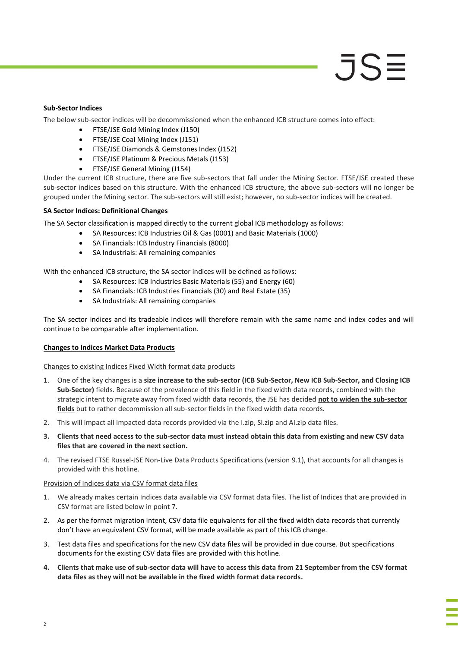## **Sub-Sector Indices**

The below sub-sector indices will be decommissioned when the enhanced ICB structure comes into effect:

- FTSE/JSE Gold Mining Index (J150)
- FTSE/JSE Coal Mining Index (J151)
- FTSE/JSE Diamonds & Gemstones Index (J152)
- FTSE/JSE Platinum & Precious Metals (J153)
- FTSE/JSE General Mining (J154)

Under the current ICB structure, there are five sub-sectors that fall under the Mining Sector. FTSE/JSE created these sub-sector indices based on this structure. With the enhanced ICB structure, the above sub-sectors will no longer be grouped under the Mining sector. The sub-sectors will still exist; however, no sub-sector indices will be created.

## **SA Sector Indices: Definitional Changes**

The SA Sector classification is mapped directly to the current global ICB methodology as follows:

- SA Resources: ICB Industries Oil & Gas (0001) and Basic Materials (1000)
- SA Financials: ICB Industry Financials (8000)
- SA Industrials: All remaining companies

With the enhanced ICB structure, the SA sector indices will be defined as follows:

- SA Resources: ICB Industries Basic Materials (55) and Energy (60)
- SA Financials: ICB Industries Financials (30) and Real Estate (35)
- SA Industrials: All remaining companies

The SA sector indices and its tradeable indices will therefore remain with the same name and index codes and will continue to be comparable after implementation.

## **Changes to Indices Market Data Products**

## Changes to existing Indices Fixed Width format data products

- 1. One of the key changes is a **size increase to the sub-sector (ICB Sub-Sector, New ICB Sub-Sector, and Closing ICB Sub-Sector)** fields. Because of the prevalence of this field in the fixed width data records, combined with the strategic intent to migrate away from fixed width data records, the JSE has decided **not to widen the sub-sector fields** but to rather decommission all sub-sector fields in the fixed width data records.
- 2. This will impact all impacted data records provided via the I.zip, SI.zip and AI.zip data files.
- **3. Clients that need access to the sub-sector data must instead obtain this data from existing and new CSV data files that are covered in the next section.**
- 4. The revised FTSE Russel-JSE Non-Live Data Products Specifications (version 9.1), that accounts for all changes is provided with this hotline.

## Provision of Indices data via CSV format data files

- 1. We already makes certain Indices data available via CSV format data files. The list of Indices that are provided in CSV format are listed below in point 7.
- 2. As per the format migration intent, CSV data file equivalents for all the fixed width data records that currently don't have an equivalent CSV format, will be made available as part of this ICB change.
- 3. Test data files and specifications for the new CSV data files will be provided in due course. But specifications documents for the existing CSV data files are provided with this hotline.
- **4. Clients that make use of sub-sector data will have to access this data from 21 September from the CSV format data files as they will not be available in the fixed width format data records.**